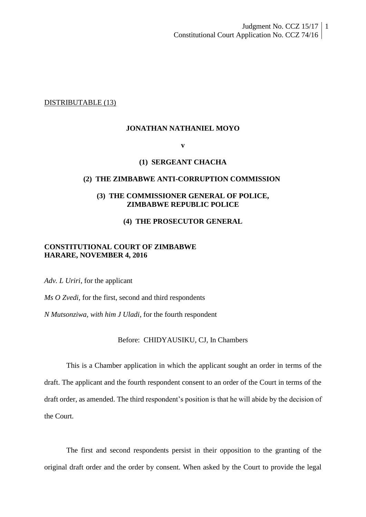DISTRIBUTABLE (13)

#### **JONATHAN NATHANIEL MOYO**

**v**

#### **(1) SERGEANT CHACHA**

#### **(2) THE ZIMBABWE ANTI-CORRUPTION COMMISSION**

## **(3) THE COMMISSIONER GENERAL OF POLICE, ZIMBABWE REPUBLIC POLICE**

## **(4) THE PROSECUTOR GENERAL**

## **CONSTITUTIONAL COURT OF ZIMBABWE HARARE, NOVEMBER 4, 2016**

*Adv. L Uriri*, for the applicant

*Ms O Zvedi*, for the first, second and third respondents

*N Mutsonziwa, with him J Uladi*, for the fourth respondent

## Before: CHIDYAUSIKU, CJ, In Chambers

This is a Chamber application in which the applicant sought an order in terms of the draft. The applicant and the fourth respondent consent to an order of the Court in terms of the draft order, as amended. The third respondent's position is that he will abide by the decision of the Court.

The first and second respondents persist in their opposition to the granting of the original draft order and the order by consent. When asked by the Court to provide the legal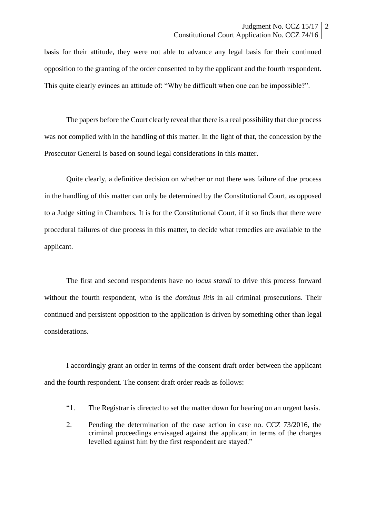basis for their attitude, they were not able to advance any legal basis for their continued opposition to the granting of the order consented to by the applicant and the fourth respondent. This quite clearly evinces an attitude of: "Why be difficult when one can be impossible?".

The papers before the Court clearly reveal that there is a real possibility that due process was not complied with in the handling of this matter. In the light of that, the concession by the Prosecutor General is based on sound legal considerations in this matter.

Quite clearly, a definitive decision on whether or not there was failure of due process in the handling of this matter can only be determined by the Constitutional Court, as opposed to a Judge sitting in Chambers. It is for the Constitutional Court, if it so finds that there were procedural failures of due process in this matter, to decide what remedies are available to the applicant.

The first and second respondents have no *locus standi* to drive this process forward without the fourth respondent, who is the *dominus litis* in all criminal prosecutions. Their continued and persistent opposition to the application is driven by something other than legal considerations.

I accordingly grant an order in terms of the consent draft order between the applicant and the fourth respondent. The consent draft order reads as follows:

- "1. The Registrar is directed to set the matter down for hearing on an urgent basis.
- 2. Pending the determination of the case action in case no. CCZ 73/2016, the criminal proceedings envisaged against the applicant in terms of the charges levelled against him by the first respondent are stayed."